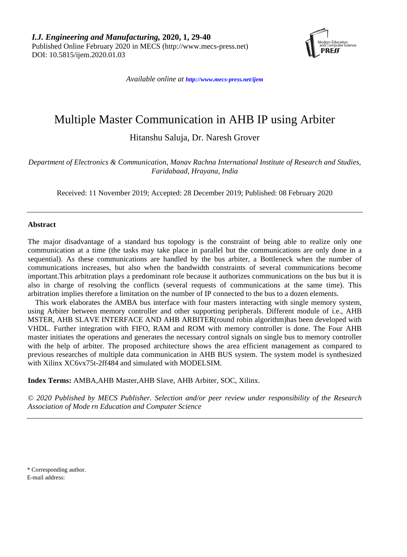

*Available online at <http://www.mecs-press.net/ijem>*

# Multiple Master Communication in AHB IP using Arbiter

Hitanshu Saluja, Dr. Naresh Grover

*Department of Electronics & Communication, Manav Rachna International Institute of Research and Studies, Faridabaad, Hrayana, India*

Received: 11 November 2019; Accepted: 28 December 2019; Published: 08 February 2020

#### **Abstract**

The major disadvantage of a standard bus topology is the constraint of being able to realize only one communication at a time (the tasks may take place in parallel but the communications are only done in a sequential). As these communications are handled by the bus arbiter, a Bottleneck when the number of communications increases, but also when the bandwidth constraints of several communications become important.This arbitration plays a predominant role because it authorizes communications on the bus but it is also in charge of resolving the conflicts (several requests of communications at the same time). This arbitration implies therefore a limitation on the number of IP connected to the bus to a dozen elements.

This work elaborates the AMBA bus interface with four masters interacting with single memory system, using Arbiter between memory controller and other supporting peripherals. Different module of i.e., AHB MSTER, AHB SLAVE INTERFACE AND AHB ARBITER(round robin algorithm)has been developed with VHDL. Further integration with FIFO, RAM and ROM with memory controller is done. The Four AHB master initiates the operations and generates the necessary control signals on single bus to memory controller with the help of arbiter. The proposed architecture shows the area efficient management as compared to previous researches of multiple data communication in AHB BUS system. The system model is synthesized with Xilinx XC6vx75t-2ff484 and simulated with MODELSIM.

**Index Terms:** AMBA,AHB Master,AHB Slave, AHB Arbiter, SOC, Xilinx.

*© 2020 Published by MECS Publisher. Selection and/or peer review under responsibility of the Research Association of Mode rn Education and Computer Science*

\* Corresponding author.

E-mail address: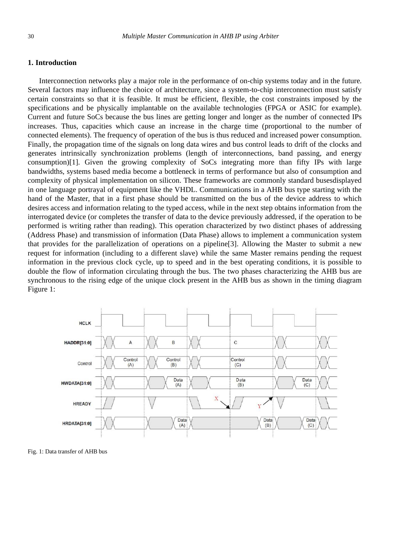### **1. Introduction**

Interconnection networks play a major role in the performance of on-chip systems today and in the future. Several factors may influence the choice of architecture, since a system-to-chip interconnection must satisfy certain constraints so that it is feasible. It must be efficient, flexible, the cost constraints imposed by the specifications and be physically implantable on the available technologies (FPGA or ASIC for example). Current and future SoCs because the bus lines are getting longer and longer as the number of connected IPs increases. Thus, capacities which cause an increase in the charge time (proportional to the number of connected elements). The frequency of operation of the bus is thus reduced and increased power consumption. Finally, the propagation time of the signals on long data wires and bus control leads to drift of the clocks and generates intrinsically synchronization problems (length of interconnections, band passing, and energy consumption)[1]. Given the growing complexity of SoCs integrating more than fifty IPs with large bandwidths, systems based media become a bottleneck in terms of performance but also of consumption and complexity of physical implementation on silicon. These frameworks are commonly standard busesdisplayed in one language portrayal of equipment like the VHDL. Communications in a AHB bus type starting with the hand of the Master, that in a first phase should be transmitted on the bus of the device address to which desires access and information relating to the typed access, while in the next step obtains information from the interrogated device (or completes the transfer of data to the device previously addressed, if the operation to be performed is writing rather than reading). This operation characterized by two distinct phases of addressing (Address Phase) and transmission of information (Data Phase) allows to implement a communication system that provides for the parallelization of operations on a pipeline[3]. Allowing the Master to submit a new request for information (including to a different slave) while the same Master remains pending the request information in the previous clock cycle, up to speed and in the best operating conditions, it is possible to double the flow of information circulating through the bus. The two phases characterizing the AHB bus are synchronous to the rising edge of the unique clock present in the AHB bus as shown in the timing diagram Figure 1:



Fig. 1: Data transfer of AHB bus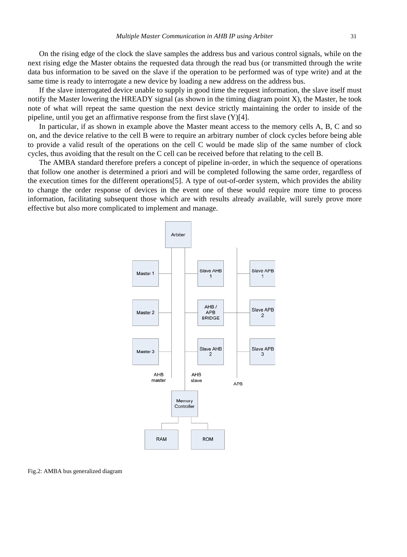On the rising edge of the clock the slave samples the address bus and various control signals, while on the next rising edge the Master obtains the requested data through the read bus (or transmitted through the write data bus information to be saved on the slave if the operation to be performed was of type write) and at the same time is ready to interrogate a new device by loading a new address on the address bus.

If the slave interrogated device unable to supply in good time the request information, the slave itself must notify the Master lowering the HREADY signal (as shown in the timing diagram point X), the Master, he took note of what will repeat the same question the next device strictly maintaining the order to inside of the pipeline, until you get an affirmative response from the first slave (Y)[4].

In particular, if as shown in example above the Master meant access to the memory cells A, B, C and so on, and the device relative to the cell B were to require an arbitrary number of clock cycles before being able to provide a valid result of the operations on the cell C would be made slip of the same number of clock cycles, thus avoiding that the result on the C cell can be received before that relating to the cell B.

The AMBA standard therefore prefers a concept of pipeline in-order, in which the sequence of operations that follow one another is determined a priori and will be completed following the same order, regardless of the execution times for the different operations[5]. A type of out-of-order system, which provides the ability to change the order response of devices in the event one of these would require more time to process information, facilitating subsequent those which are with results already available, will surely prove more effective but also more complicated to implement and manage.



Fig.2: AMBA bus generalized diagram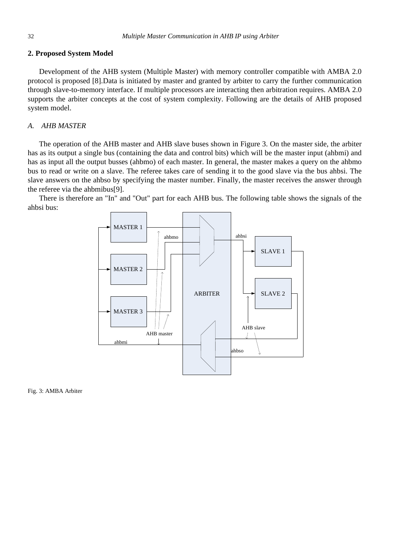#### **2. Proposed System Model**

Development of the AHB system (Multiple Master) with memory controller compatible with AMBA 2.0 protocol is proposed [8].Data is initiated by master and granted by arbiter to carry the further communication through slave-to-memory interface. If multiple processors are interacting then arbitration requires. AMBA 2.0 supports the arbiter concepts at the cost of system complexity. Following are the details of AHB proposed system model.

### *A. AHB MASTER*

The operation of the AHB master and AHB slave buses shown in Figure 3. On the master side, the arbiter has as its output a single bus (containing the data and control bits) which will be the master input (ahbmi) and has as input all the output busses (ahbmo) of each master. In general, the master makes a query on the ahbmo bus to read or write on a slave. The referee takes care of sending it to the good slave via the bus ahbsi. The slave answers on the ahbso by specifying the master number. Finally, the master receives the answer through the referee via the ahbmibus[9].

There is therefore an "In" and "Out" part for each AHB bus. The following table shows the signals of the ahbsi bus:



Fig. 3: AMBA Arbiter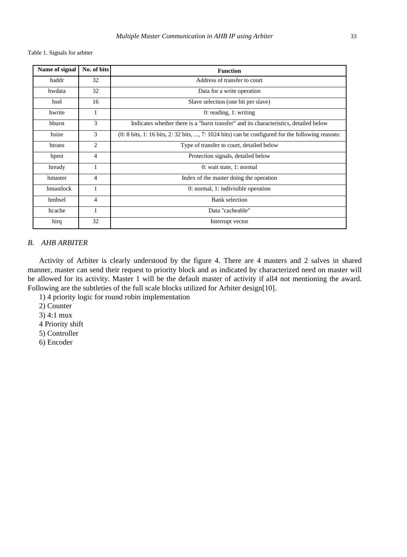Table 1. Signals for arbiter

| Name of signal | No. of bits    | <b>Function</b>                                                                                                                    |
|----------------|----------------|------------------------------------------------------------------------------------------------------------------------------------|
| haddr          | 32             | Address of transfer to court                                                                                                       |
| hwdata         | 32             | Data for a write operation                                                                                                         |
| hsel           | 16             | Slave selection (one bit per slave)                                                                                                |
| hwrite         | 1              | $0:$ reading, 1: writing                                                                                                           |
| hburst         | 3              | Indicates whether there is a "burst transfer" and its characteristics, detailed below                                              |
| hsize          | 3              | $(0: 8 \text{ bits}, 1: 16 \text{ bits}, 2: 32 \text{ bits}, , 7: 1024 \text{ bits})$ can be configured for the following reasons: |
| htrans         | $\mathfrak{2}$ | Type of transfer to court, detailed below                                                                                          |
| hprot          | $\overline{4}$ | Protection signals, detailed below                                                                                                 |
| hready         | 1              | 0: wait state, 1: normal                                                                                                           |
| hmaster        | $\overline{4}$ | Index of the master doing the operation                                                                                            |
| hmastlock      | 1              | 0: normal, 1: indivisible operation                                                                                                |
| hmbsel         | $\overline{4}$ | <b>Bank</b> selection                                                                                                              |
| hcache         | 1              | Data "cacheable"                                                                                                                   |
| hirq           | 32             | Interrupt vector                                                                                                                   |

## *B. AHB ARBITER*

Activity of Arbiter is clearly understood by the figure 4. There are 4 masters and 2 salves in shared manner, master can send their request to priority block and as indicated by characterized need on master will be allowed for its activity. Master 1 will be the default master of activity if all4 not mentioning the award. Following are the subtleties of the full scale blocks utilized for Arbiter design[10].

1) 4 priority logic for round robin implementation

2) Counter

3) 4:1 mux

4 Priority shift

5) Controller

6) Encoder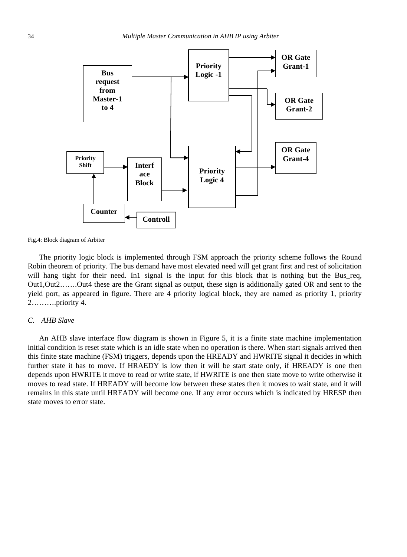

Fig.4: Block diagram of Arbiter

The priority logic block is implemented through FSM approach the priority scheme follows the Round Robin theorem of priority. The bus demand have most elevated need will get grant first and rest of solicitation will hang tight for their need. In1 signal is the input for this block that is nothing but the Bus\_req, Out1,Out2…….Out4 these are the Grant signal as output, these sign is additionally gated OR and sent to the yield port, as appeared in figure. There are 4 priority logical block, they are named as priority 1, priority 2……….priority 4.

#### *C. AHB Slave*

An AHB slave interface flow diagram is shown in Figure 5, it is a finite state machine implementation initial condition is reset state which is an idle state when no operation is there. When start signals arrived then this finite state machine (FSM) triggers, depends upon the HREADY and HWRITE signal it decides in which further state it has to move. If HRAEDY is low then it will be start state only, if HREADY is one then depends upon HWRITE it move to read or write state, if HWRITE is one then state move to write otherwise it moves to read state. If HREADY will become low between these states then it moves to wait state, and it will remains in this state until HREADY will become one. If any error occurs which is indicated by HRESP then state moves to error state.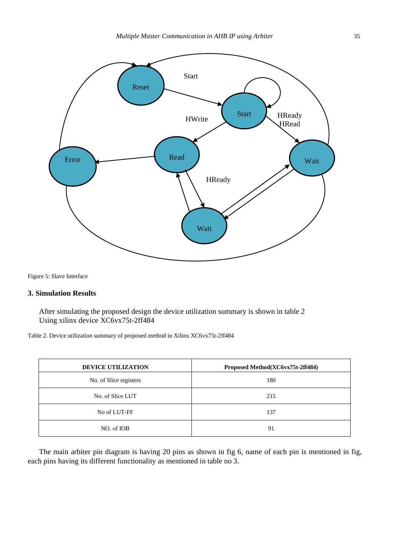

Figure 5: Slave Interface

## **3. Simulation Results**

After simulating the proposed design the device utilization summary is shown in table 2 Using xilinx device XC6vx75t-2ff484

Table 2. Device utilization summary of proposed method in Xilinx XC6vx75t-2ff484

| <b>DEVICE UTILIZATION</b> | Proposed Method(XC6vx75t-2ff484) |
|---------------------------|----------------------------------|
| No. of Slice registers    | 180                              |
| No. of Slice LUT          | 215                              |
| No of LUT-FF              | 137                              |
| NO. of IOB                | 91                               |

The main arbiter pin diagram is having 20 pins as shown in fig 6, name of each pin is mentioned in fig, each pins having its different functionality as mentioned in table no 3.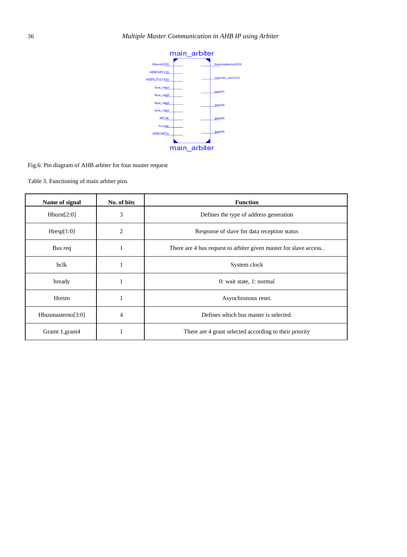

Fig.6: Pin diagram of AHB arbiter for four master request

Table 3. Functioning of main arbiter pins

| Name of signal       | No. of bits | <b>Function</b>                                                  |
|----------------------|-------------|------------------------------------------------------------------|
| Hburst[2:0]          | 3           | Defines the type of address generation                           |
| Hresp[1:0]           | 2           | Response of slave for data reception status                      |
| Bus req              | 1           | There are 4 bus request to arbiter given master for slave access |
| hclk                 | 1           | System clock                                                     |
| hready               | 1           | 0: wait state, 1: normal                                         |
| Hrestn               | 1           | Asynchronous reset.                                              |
| Hbusmasterno $[3:0]$ | 4           | Defines which bus master is selected.                            |
| Gramt 1, grant 4     | 1           | There are 4 grant selected according to their priority           |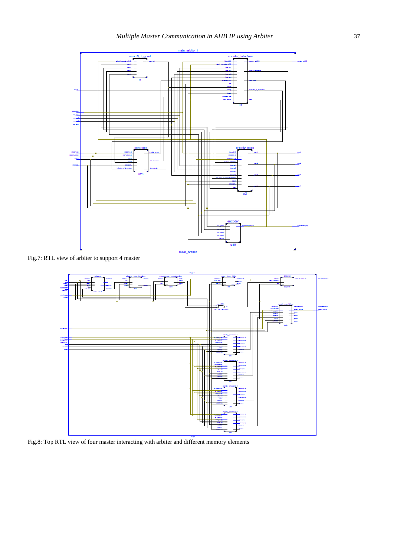

Fig.7: RTL view of arbiter to support 4 master



Fig.8: Top RTL view of four master interacting with arbiter and different memory elements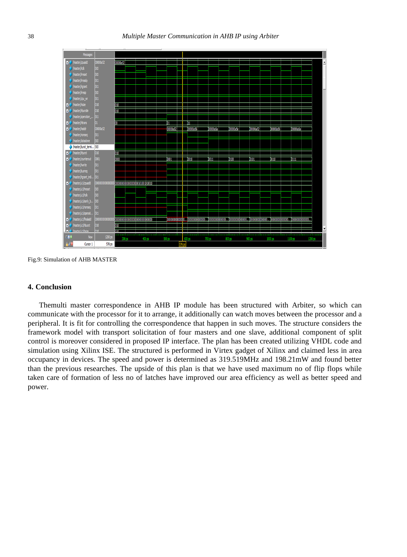

Fig.9: Simulation of AHB MASTER

## **4. Conclusion**

Themulti master correspondence in AHB IP module has been structured with Arbiter, so which can communicate with the processor for it to arrange, it additionally can watch moves between the processor and a peripheral. It is fit for controlling the correspondence that happen in such moves. The structure considers the framework model with transport solicitation of four masters and one slave, additional component of split control is moreover considered in proposed IP interface. The plan has been created utilizing VHDL code and simulation using Xilinx ISE. The structured is performed in Virtex gadget of Xilinx and claimed less in area occupancy in devices. The speed and power is determined as 319.519MHz and 198.21mW and found better than the previous researches. The upside of this plan is that we have used maximum no of flip flops while taken care of formation of less no of latches have improved our area efficiency as well as better speed and power.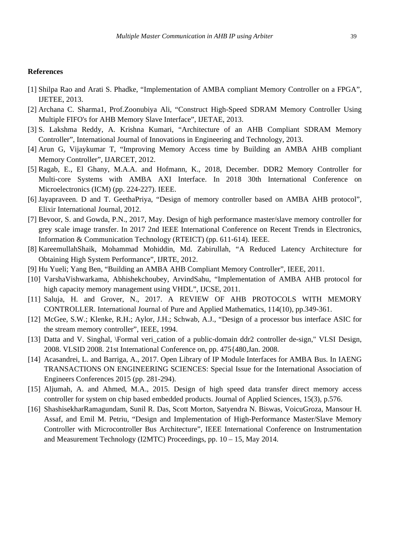#### **References**

- [1] Shilpa Rao and Arati S. Phadke, "Implementation of AMBA compliant Memory Controller on a FPGA", IJETEE, 2013.
- [2] Archana C. Sharma1, Prof.Zoonubiya Ali, "Construct High-Speed SDRAM Memory Controller Using Multiple FIFO's for AHB Memory Slave Interface", IJETAE, 2013.
- [3] S. Lakshma Reddy, A. Krishna Kumari, "Architecture of an AHB Compliant SDRAM Memory Controller", International Journal of Innovations in Engineering and Technology, 2013.
- [4] Arun G, Vijaykumar T, "Improving Memory Access time by Building an AMBA AHB compliant Memory Controller", IJARCET, 2012.
- [5] Ragab, E., El Ghany, M.A.A. and Hofmann, K., 2018, December. DDR2 Memory Controller for Multi-core Systems with AMBA AXI Interface. In 2018 30th International Conference on Microelectronics (ICM) (pp. 224-227). IEEE.
- [6] Jayapraveen. D and T. GeethaPriya, "Design of memory controller based on AMBA AHB protocol", Elixir International Journal, 2012.
- [7] Bevoor, S. and Gowda, P.N., 2017, May. Design of high performance master/slave memory controller for grey scale image transfer. In 2017 2nd IEEE International Conference on Recent Trends in Electronics, Information & Communication Technology (RTEICT) (pp. 611-614). IEEE.
- [8] KareemullahShaik, Mohammad Mohiddin, Md. Zabirullah, "A Reduced Latency Architecture for Obtaining High System Performance", IJRTE, 2012.
- [9] Hu Yueli; Yang Ben, "Building an AMBA AHB Compliant Memory Controller", IEEE, 2011.
- [10] VarshaVishwarkama, Abhishekchoubey, ArvindSahu, "Implementation of AMBA AHB protocol for high capacity memory management using VHDL", IJCSE, 2011.
- [11] Saluja, H. and Grover, N., 2017. A REVIEW OF AHB PROTOCOLS WITH MEMORY CONTROLLER. International Journal of Pure and Applied Mathematics, 114(10), pp.349-361.
- [12] McGee, S.W.; Klenke, R.H.; Aylor, J.H.; Schwab, A.J., "Design of a processor bus interface ASIC for the stream memory controller", IEEE, 1994.
- [13] Datta and V. Singhal, \Formal veri\_cation of a public-domain ddr2 controller de-sign," VLSI Design, 2008. VLSID 2008. 21st International Conference on, pp. 475{480,Jan. 2008.
- [14] Acasandrei, L. and Barriga, A., 2017. Open Library of IP Module Interfaces for AMBA Bus. In IAENG TRANSACTIONS ON ENGINEERING SCIENCES: Special Issue for the International Association of Engineers Conferences 2015 (pp. 281-294).
- [15] Aljumah, A. and Ahmed, M.A., 2015. Design of high speed data transfer direct memory access controller for system on chip based embedded products. Journal of Applied Sciences, 15(3), p.576.
- [16] ShashisekharRamagundam, Sunil R. Das, Scott Morton, Satyendra N. Biswas, VoicuGroza, Mansour H. Assaf, and Emil M. Petriu, "Design and Implementation of High-Performance Master/Slave Memory Controller with Microcontroller Bus Architecture", IEEE International Conference on Instrumentation and Measurement Technology (I2MTC) Proceedings, pp. 10 – 15, May 2014.